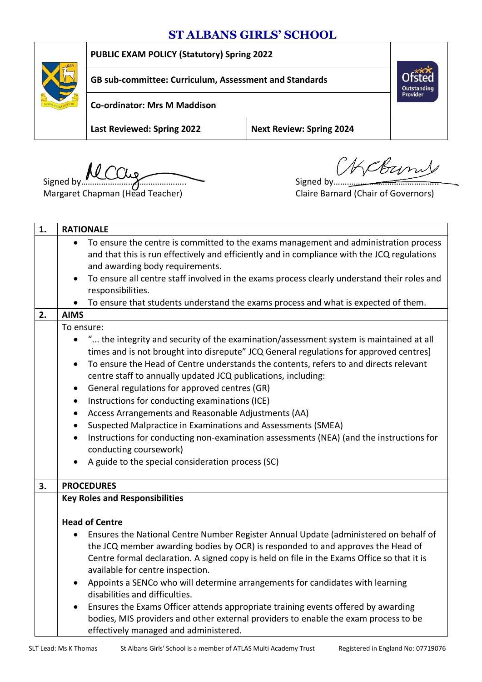# **ST ALBANS GIRLS' SCHOOL**



**PUBLIC EXAM POLICY (Statutory) Spring 2022**

**GB sub-committee: Curriculum, Assessment and Standards**

**Co-ordinator: Mrs M Maddison**

**Last Reviewed: Spring 2022 Next Review: Spring 2024**

Signed by  $\overbrace{\hspace{1.5cm}}$  Signed by  $\overbrace{\hspace{1.5cm}}$  Signed by  $\overbrace{\hspace{1.5cm}}$ 

Coun

Outstanding Provider

Margaret Chapman (Head Teacher) Claire Barnard (Chair of Governors)

| 1. | <b>RATIONALE</b>                                                                                                                                                                                                                                                                                                                                                                                                                                                                                                                                                                                                                                                                                                                                                                                                              |  |  |  |
|----|-------------------------------------------------------------------------------------------------------------------------------------------------------------------------------------------------------------------------------------------------------------------------------------------------------------------------------------------------------------------------------------------------------------------------------------------------------------------------------------------------------------------------------------------------------------------------------------------------------------------------------------------------------------------------------------------------------------------------------------------------------------------------------------------------------------------------------|--|--|--|
|    | To ensure the centre is committed to the exams management and administration process<br>and that this is run effectively and efficiently and in compliance with the JCQ regulations<br>and awarding body requirements.<br>To ensure all centre staff involved in the exams process clearly understand their roles and<br>$\bullet$                                                                                                                                                                                                                                                                                                                                                                                                                                                                                            |  |  |  |
|    | responsibilities.                                                                                                                                                                                                                                                                                                                                                                                                                                                                                                                                                                                                                                                                                                                                                                                                             |  |  |  |
|    | To ensure that students understand the exams process and what is expected of them.                                                                                                                                                                                                                                                                                                                                                                                                                                                                                                                                                                                                                                                                                                                                            |  |  |  |
| 2. | <b>AIMS</b>                                                                                                                                                                                                                                                                                                                                                                                                                                                                                                                                                                                                                                                                                                                                                                                                                   |  |  |  |
|    | To ensure:<br>" the integrity and security of the examination/assessment system is maintained at all<br>times and is not brought into disrepute" JCQ General regulations for approved centres]<br>To ensure the Head of Centre understands the contents, refers to and directs relevant<br>$\bullet$<br>centre staff to annually updated JCQ publications, including:<br>General regulations for approved centres (GR)<br>$\bullet$<br>Instructions for conducting examinations (ICE)<br>$\bullet$<br>Access Arrangements and Reasonable Adjustments (AA)<br>$\bullet$<br>Suspected Malpractice in Examinations and Assessments (SMEA)<br>Instructions for conducting non-examination assessments (NEA) (and the instructions for<br>$\bullet$<br>conducting coursework)<br>A guide to the special consideration process (SC) |  |  |  |
| 3. | <b>PROCEDURES</b>                                                                                                                                                                                                                                                                                                                                                                                                                                                                                                                                                                                                                                                                                                                                                                                                             |  |  |  |
|    | <b>Key Roles and Responsibilities</b>                                                                                                                                                                                                                                                                                                                                                                                                                                                                                                                                                                                                                                                                                                                                                                                         |  |  |  |
|    | <b>Head of Centre</b><br>Ensures the National Centre Number Register Annual Update (administered on behalf of<br>the JCQ member awarding bodies by OCR) is responded to and approves the Head of<br>Centre formal declaration. A signed copy is held on file in the Exams Office so that it is<br>available for centre inspection.<br>Appoints a SENCo who will determine arrangements for candidates with learning<br>disabilities and difficulties.<br>Ensures the Exams Officer attends appropriate training events offered by awarding<br>$\bullet$<br>bodies, MIS providers and other external providers to enable the exam process to be<br>effectively managed and administered.                                                                                                                                       |  |  |  |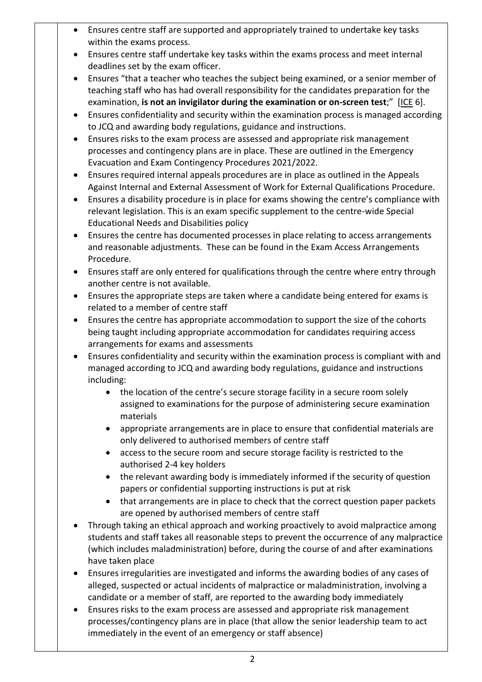- Ensures centre staff are supported and appropriately trained to undertake key tasks within the exams process.
- Ensures centre staff undertake key tasks within the exams process and meet internal deadlines set by the exam officer.
- Ensures "that a teacher who teaches the subject being examined, or a senior member of teaching staff who has had overall responsibility for the candidates preparation for the examination, **is not an invigilator during the examination or on-screen test**;" [[ICE](http://www.jcq.org.uk/exams-office/ice---instructions-for-conducting-examinations) 6].
- Ensures confidentiality and security within the examination process is managed according to JCQ and awarding body regulations, guidance and instructions.
- Ensures risks to the exam process are assessed and appropriate risk management processes and contingency plans are in place. These are outlined in the Emergency Evacuation and Exam Contingency Procedures 2021/2022.
- Ensures required internal appeals procedures are in place as outlined in the Appeals Against Internal and External Assessment of Work for External Qualifications Procedure.
- Ensures a disability procedure is in place for exams showing the centre's compliance with relevant legislation. This is an exam specific supplement to the centre-wide Special Educational Needs and Disabilities policy
- Ensures the centre has documented processes in place relating to access arrangements and reasonable adjustments. These can be found in the Exam Access Arrangements Procedure.
- Ensures staff are only entered for qualifications through the centre where entry through another centre is not available.
- Ensures the appropriate steps are taken where a candidate being entered for exams is related to a member of centre staff
- Ensures the centre has appropriate accommodation to support the size of the cohorts being taught including appropriate accommodation for candidates requiring access arrangements for exams and assessments
- Ensures confidentiality and security within the examination process is compliant with and managed according to JCQ and awarding body regulations, guidance and instructions including:
	- the location of the centre's secure storage facility in a secure room solely assigned to examinations for the purpose of administering secure examination materials
	- appropriate arrangements are in place to ensure that confidential materials are only delivered to authorised members of centre staff
	- access to the secure room and secure storage facility is restricted to the authorised 2-4 key holders
	- the relevant awarding body is immediately informed if the security of question papers or confidential supporting instructions is put at risk
	- that arrangements are in place to check that the correct question paper packets are opened by authorised members of centre staff
- Through taking an ethical approach and working proactively to avoid malpractice among students and staff takes all reasonable steps to prevent the occurrence of any malpractice (which includes maladministration) before, during the course of and after examinations have taken place
- Ensures irregularities are investigated and informs the awarding bodies of any cases of alleged, suspected or actual incidents of malpractice or maladministration, involving a candidate or a member of staff, are reported to the awarding body immediately
- Ensures risks to the exam process are assessed and appropriate risk management processes/contingency plans are in place (that allow the senior leadership team to act immediately in the event of an emergency or staff absence)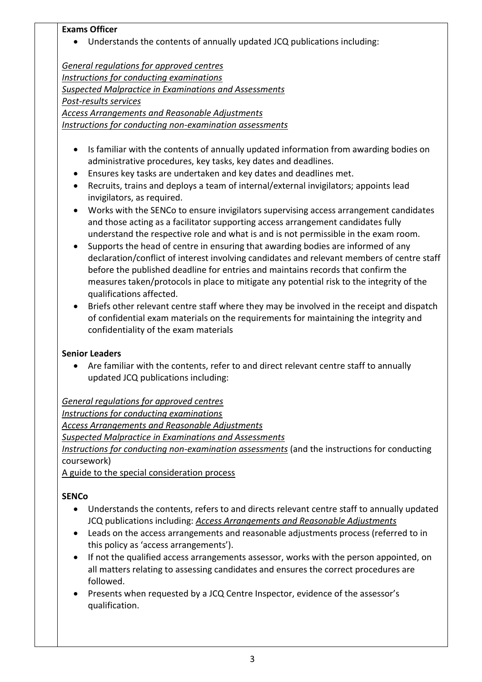#### **Exams Officer**

Understands the contents of annually updated JCQ publications including:

*[General regulations for approved centres](http://www.jcq.org.uk/exams-office/general-regulations) [Instructions for conducting examinations](http://www.jcq.org.uk/exams-office/ice---instructions-for-conducting-examinations) [Suspected Malpractice in Examinations](http://www.jcq.org.uk/exams-office/malpractice) and Assessments [Post-results services](http://www.jcq.org.uk/exams-office/post-results-services) Access Arrangements and Reasonable Adjustments Instructions for conducting non-examination assessments*

- Is familiar with the contents of annually updated information from awarding bodies on administrative procedures, key tasks, key dates and deadlines.
- Ensures key tasks are undertaken and key dates and deadlines met.
- Recruits, trains and deploys a team of internal/external invigilators; appoints lead invigilators, as required.
- Works with the SENCo to ensure invigilators supervising access arrangement candidates and those acting as a facilitator supporting access arrangement candidates fully understand the respective role and what is and is not permissible in the exam room.
- Supports the head of centre in ensuring that awarding bodies are informed of any declaration/conflict of interest involving candidates and relevant members of centre staff before the published deadline for entries and maintains records that confirm the measures taken/protocols in place to mitigate any potential risk to the integrity of the qualifications affected.
- Briefs other relevant centre staff where they may be involved in the receipt and dispatch of confidential exam materials on the requirements for maintaining the integrity and confidentiality of the exam materials

### **Senior Leaders**

 Are familiar with the contents, refer to and direct relevant centre staff to annually updated JCQ publications including:

*[General regulations for approved centres](http://www.jcq.org.uk/exams-office/general-regulations) [Instructions for conducting examinations](http://www.jcq.org.uk/exams-office/ice---instructions-for-conducting-examinations) [Access Arrangements and Reasonable Adjustments](http://www.jcq.org.uk/exams-office/access-arrangements-and-special-consideration/regulations-and-guidance) [Suspected Malpractice in Examinations and Assessments](http://www.jcq.org.uk/exams-office/malpractice) [Instructions for conducting non-examination assessments](http://www.jcq.org.uk/exams-office/non-examination-assessments)* (and the instructions for conducting coursework) A guide to the special consideration process

### **SENCo**

- Understands the contents, refers to and directs relevant centre staff to annually updated JCQ publications including: *[Access Arrangements and Reasonable Adjustments](http://www.jcq.org.uk/exams-office/access-arrangements-and-special-consideration/regulations-and-guidance)*
- Leads on the access arrangements and reasonable adjustments process (referred to in this policy as 'access arrangements').
- If not the qualified access arrangements assessor, works with the person appointed, on all matters relating to assessing candidates and ensures the correct procedures are followed.
- Presents when requested by a JCQ Centre Inspector, evidence of the assessor's qualification.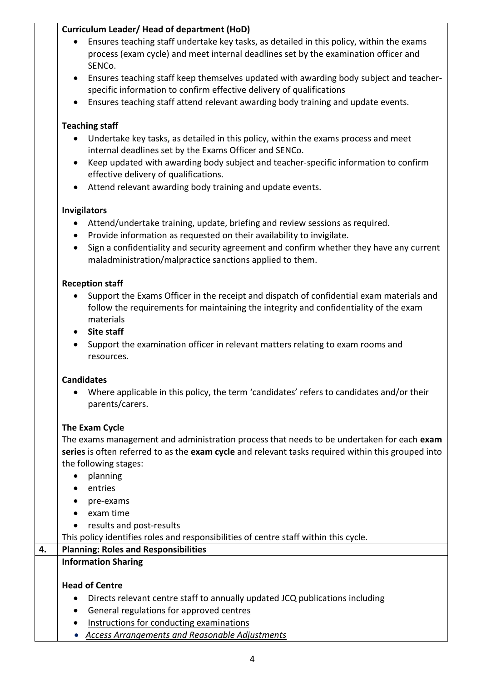# **Curriculum Leader/ Head of department (HoD)**

- Ensures teaching staff undertake key tasks, as detailed in this policy, within the exams process (exam cycle) and meet internal deadlines set by the examination officer and SENCo.
- Ensures teaching staff keep themselves updated with awarding body subject and teacherspecific information to confirm effective delivery of qualifications
- Ensures teaching staff attend relevant awarding body training and update events.

# **Teaching staff**

- Undertake key tasks, as detailed in this policy, within the exams process and meet internal deadlines set by the Exams Officer and SENCo.
- Keep updated with awarding body subject and teacher-specific information to confirm effective delivery of qualifications.
- Attend relevant awarding body training and update events.

# **Invigilators**

- Attend/undertake training, update, briefing and review sessions as required.
- Provide information as requested on their availability to invigilate.
- Sign a confidentiality and security agreement and confirm whether they have any current maladministration/malpractice sanctions applied to them.

## **Reception staff**

- Support the Exams Officer in the receipt and dispatch of confidential exam materials and follow the requirements for maintaining the integrity and confidentiality of the exam materials
- **Site staff**
- Support the examination officer in relevant matters relating to exam rooms and resources.

# **Candidates**

 Where applicable in this policy, the term 'candidates' refers to candidates and/or their parents/carers.

# **The Exam Cycle**

The exams management and administration process that needs to be undertaken for each **exam series** is often referred to as the **exam cycle** and relevant tasks required within this grouped into the following stages:

- planning
- entries
- pre-exams
- exam time
- results and post-results
- This policy identifies roles and responsibilities of centre staff within this cycle.

| 4. | <b>Planning: Roles and Responsibilities</b>                                               |  |  |
|----|-------------------------------------------------------------------------------------------|--|--|
|    | <b>Information Sharing</b>                                                                |  |  |
|    | <b>Head of Centre</b>                                                                     |  |  |
|    | Directs relevant centre staff to annually updated JCQ publications including<br>$\bullet$ |  |  |
|    | General regulations for approved centres<br>$\bullet$                                     |  |  |
|    | Instructions for conducting examinations                                                  |  |  |

*[Access Arrangements and Reasonable Adjustments](http://www.jcq.org.uk/exams-office/access-arrangements-and-special-consideration/regulations-and-guidance)*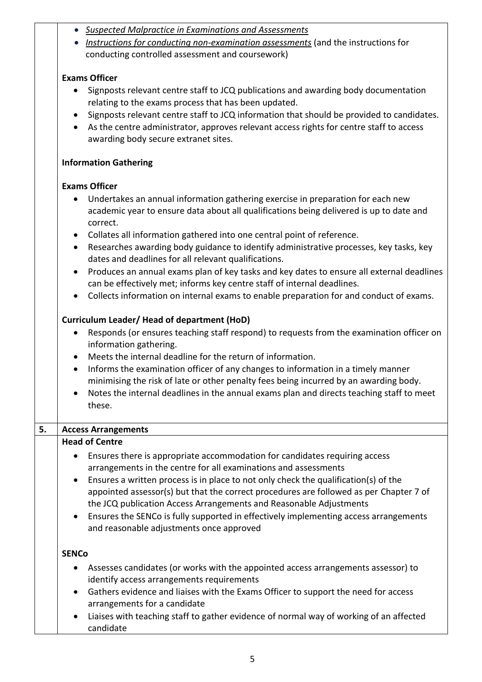|  | • Suspected Malpractice in Examinations and Assessments |
|--|---------------------------------------------------------|
|--|---------------------------------------------------------|

 *[Instructions for conducting non-examination assessments](http://www.jcq.org.uk/exams-office/non-examination-assessments)* (and the instructions for conducting controlled assessment and coursework)

## **Exams Officer**

- Signposts relevant centre staff to JCQ publications and awarding body documentation relating to the exams process that has been updated.
- Signposts relevant centre staff to JCQ information that should be provided to candidates.
- As the centre administrator, approves relevant access rights for centre staff to access awarding body secure extranet sites.

## **Information Gathering**

## **Exams Officer**

- Undertakes an annual information gathering exercise in preparation for each new academic year to ensure data about all qualifications being delivered is up to date and correct.
- Collates all information gathered into one central point of reference.
- Researches awarding body guidance to identify administrative processes, key tasks, key dates and deadlines for all relevant qualifications.
- Produces an annual exams plan of key tasks and key dates to ensure all external deadlines can be effectively met; informs key centre staff of internal deadlines.
- Collects information on internal exams to enable preparation for and conduct of exams.

## **Curriculum Leader/ Head of department (HoD)**

- Responds (or ensures teaching staff respond) to requests from the examination officer on information gathering.
- Meets the internal deadline for the return of information.
- Informs the examination officer of any changes to information in a timely manner minimising the risk of late or other penalty fees being incurred by an awarding body.
- Notes the internal deadlines in the annual exams plan and directs teaching staff to meet these.

| 5. | <b>Access Arrangements</b>                                                                                                                                                                                                                                                                                                                                                                                                                                                                                                                                           |  |  |  |
|----|----------------------------------------------------------------------------------------------------------------------------------------------------------------------------------------------------------------------------------------------------------------------------------------------------------------------------------------------------------------------------------------------------------------------------------------------------------------------------------------------------------------------------------------------------------------------|--|--|--|
|    | <b>Head of Centre</b>                                                                                                                                                                                                                                                                                                                                                                                                                                                                                                                                                |  |  |  |
|    | Ensures there is appropriate accommodation for candidates requiring access<br>$\bullet$<br>arrangements in the centre for all examinations and assessments<br>Ensures a written process is in place to not only check the qualification(s) of the<br>$\bullet$<br>appointed assessor(s) but that the correct procedures are followed as per Chapter 7 of<br>the JCQ publication Access Arrangements and Reasonable Adjustments<br>• Ensures the SENCo is fully supported in effectively implementing access arrangements<br>and reasonable adjustments once approved |  |  |  |
|    | <b>SENCO</b>                                                                                                                                                                                                                                                                                                                                                                                                                                                                                                                                                         |  |  |  |
|    | • Assesses candidates (or works with the appointed access arrangements assessor) to<br>identify access arrangements requirements                                                                                                                                                                                                                                                                                                                                                                                                                                     |  |  |  |
|    | Gathers evidence and liaises with the Exams Officer to support the need for access<br>$\bullet$<br>arrangements for a candidate                                                                                                                                                                                                                                                                                                                                                                                                                                      |  |  |  |
|    | Liaises with teaching staff to gather evidence of normal way of working of an affected<br>$\bullet$<br>candidate                                                                                                                                                                                                                                                                                                                                                                                                                                                     |  |  |  |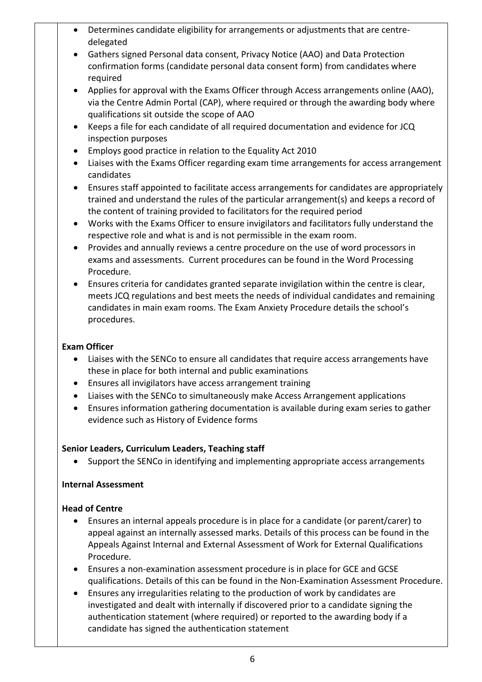- Determines candidate eligibility for arrangements or adjustments that are centredelegated
- Gathers signed Personal data consent, Privacy Notice (AAO) and Data Protection confirmation forms (candidate personal data consent form) from candidates where required
- Applies for approval with the Exams Officer through Access arrangements online (AAO), via the Centre Admin Portal (CAP), where required or through the awarding body where qualifications sit outside the scope of AAO
- Keeps a file for each candidate of all required documentation and evidence for JCQ inspection purposes
- Employs good practice in relation to the Equality Act 2010
- Liaises with the Exams Officer regarding exam time arrangements for access arrangement candidates
- Ensures staff appointed to facilitate access arrangements for candidates are appropriately trained and understand the rules of the particular arrangement(s) and keeps a record of the content of training provided to facilitators for the required period
- Works with the Exams Officer to ensure invigilators and facilitators fully understand the respective role and what is and is not permissible in the exam room.
- Provides and annually reviews a centre procedure on the use of word processors in exams and assessments. Current procedures can be found in the Word Processing Procedure.
- Ensures criteria for candidates granted separate invigilation within the centre is clear, meets JCQ regulations and best meets the needs of individual candidates and remaining candidates in main exam rooms. The Exam Anxiety Procedure details the school's procedures.

## **Exam Officer**

- Liaises with the SENCo to ensure all candidates that require access arrangements have these in place for both internal and public examinations
- Ensures all invigilators have access arrangement training
- Liaises with the SENCo to simultaneously make Access Arrangement applications
- Ensures information gathering documentation is available during exam series to gather evidence such as History of Evidence forms

### **Senior Leaders, Curriculum Leaders, Teaching staff**

Support the SENCo in identifying and implementing appropriate access arrangements

### **Internal Assessment**

### **Head of Centre**

- Ensures an internal appeals procedure is in place for a candidate (or parent/carer) to appeal against an internally assessed marks. Details of this process can be found in the Appeals Against Internal and External Assessment of Work for External Qualifications Procedure.
- Ensures a non-examination assessment procedure is in place for GCE and GCSE qualifications. Details of this can be found in the Non-Examination Assessment Procedure.
- Ensures any irregularities relating to the production of work by candidates are investigated and dealt with internally if discovered prior to a candidate signing the authentication statement (where required) or reported to the awarding body if a candidate has signed the authentication statement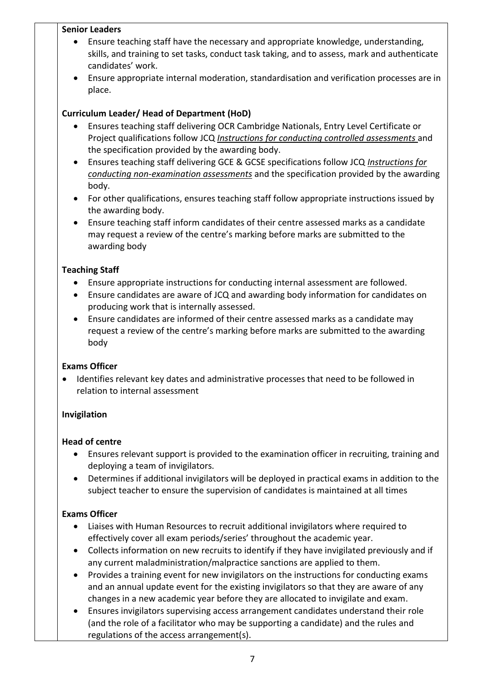#### **Senior Leaders**

- Ensure teaching staff have the necessary and appropriate knowledge, understanding, skills, and training to set tasks, conduct task taking, and to assess, mark and authenticate candidates' work.
- Ensure appropriate internal moderation, standardisation and verification processes are in place.

## **Curriculum Leader/ Head of Department (HoD)**

- Ensures teaching staff delivering OCR Cambridge Nationals, Entry Level Certificate or Project qualifications follow JCQ *[Instructions for conducting controlled assessments](http://www.jcq.org.uk/exams-office/controlled-assessments/)* and the specification provided by the awarding body.
- Ensures teaching staff delivering GCE & GCSE specifications follow JCQ *[Instructions for](http://www.jcq.org.uk/exams-office/non-examination-assessments)  [conducting non-examination assessments](http://www.jcq.org.uk/exams-office/non-examination-assessments)* and the specification provided by the awarding body.
- For other qualifications, ensures teaching staff follow appropriate instructions issued by the awarding body.
- Ensure teaching staff inform candidates of their centre assessed marks as a candidate may request a review of the centre's marking before marks are submitted to the awarding body

## **Teaching Staff**

- Ensure appropriate instructions for conducting internal assessment are followed.
- Ensure candidates are aware of JCQ and awarding body information for candidates on producing work that is internally assessed.
- Ensure candidates are informed of their centre assessed marks as a candidate may request a review of the centre's marking before marks are submitted to the awarding body

### **Exams Officer**

 Identifies relevant key dates and administrative processes that need to be followed in relation to internal assessment

### **Invigilation**

### **Head of centre**

- Ensures relevant support is provided to the examination officer in recruiting, training and deploying a team of invigilators.
- Determines if additional invigilators will be deployed in practical exams in addition to the subject teacher to ensure the supervision of candidates is maintained at all times

- Liaises with Human Resources to recruit additional invigilators where required to effectively cover all exam periods/series' throughout the academic year.
- Collects information on new recruits to identify if they have invigilated previously and if any current maladministration/malpractice sanctions are applied to them.
- Provides a training event for new invigilators on the instructions for conducting exams and an annual update event for the existing invigilators so that they are aware of any changes in a new academic year before they are allocated to invigilate and exam.
- Ensures invigilators supervising access arrangement candidates understand their role (and the role of a facilitator who may be supporting a candidate) and the rules and regulations of the access arrangement(s).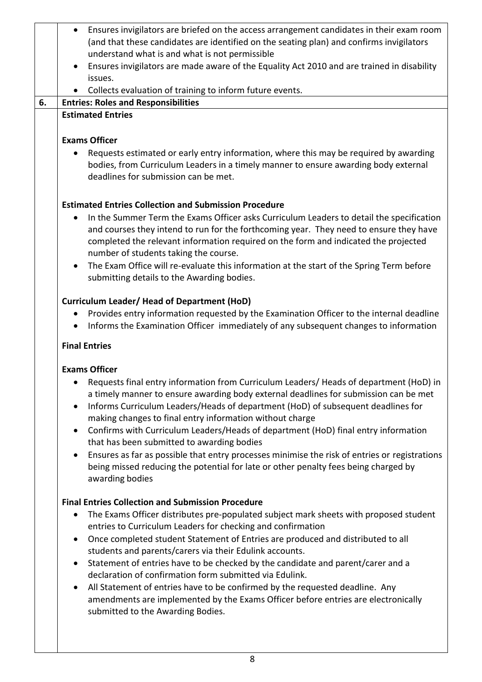|    | Ensures invigilators are briefed on the access arrangement candidates in their exam room                                                                                                                                  |  |  |  |
|----|---------------------------------------------------------------------------------------------------------------------------------------------------------------------------------------------------------------------------|--|--|--|
|    | (and that these candidates are identified on the seating plan) and confirms invigilators                                                                                                                                  |  |  |  |
|    | understand what is and what is not permissible                                                                                                                                                                            |  |  |  |
|    | Ensures invigilators are made aware of the Equality Act 2010 and are trained in disability<br>$\bullet$                                                                                                                   |  |  |  |
|    | issues.                                                                                                                                                                                                                   |  |  |  |
|    | Collects evaluation of training to inform future events.                                                                                                                                                                  |  |  |  |
| 6. | <b>Entries: Roles and Responsibilities</b>                                                                                                                                                                                |  |  |  |
|    | <b>Estimated Entries</b>                                                                                                                                                                                                  |  |  |  |
|    |                                                                                                                                                                                                                           |  |  |  |
|    | <b>Exams Officer</b>                                                                                                                                                                                                      |  |  |  |
|    | Requests estimated or early entry information, where this may be required by awarding<br>٠<br>bodies, from Curriculum Leaders in a timely manner to ensure awarding body external<br>deadlines for submission can be met. |  |  |  |
|    | <b>Estimated Entries Collection and Submission Procedure</b>                                                                                                                                                              |  |  |  |
|    | In the Summer Term the Exams Officer asks Curriculum Leaders to detail the specification<br>$\bullet$                                                                                                                     |  |  |  |
|    | and courses they intend to run for the forthcoming year. They need to ensure they have                                                                                                                                    |  |  |  |
|    | completed the relevant information required on the form and indicated the projected<br>number of students taking the course.                                                                                              |  |  |  |
|    | The Exam Office will re-evaluate this information at the start of the Spring Term before<br>$\bullet$                                                                                                                     |  |  |  |
|    | submitting details to the Awarding bodies.                                                                                                                                                                                |  |  |  |
|    |                                                                                                                                                                                                                           |  |  |  |
|    | <b>Curriculum Leader/ Head of Department (HoD)</b>                                                                                                                                                                        |  |  |  |
|    | Provides entry information requested by the Examination Officer to the internal deadline                                                                                                                                  |  |  |  |
|    | Informs the Examination Officer immediately of any subsequent changes to information                                                                                                                                      |  |  |  |
|    | <b>Final Entries</b>                                                                                                                                                                                                      |  |  |  |
|    | <b>Exams Officer</b>                                                                                                                                                                                                      |  |  |  |
|    | Requests final entry information from Curriculum Leaders/ Heads of department (HoD) in                                                                                                                                    |  |  |  |
|    | a timely manner to ensure awarding body external deadlines for submission can be met                                                                                                                                      |  |  |  |
|    | Informs Curriculum Leaders/Heads of department (HoD) of subsequent deadlines for<br>$\bullet$                                                                                                                             |  |  |  |
|    | making changes to final entry information without charge                                                                                                                                                                  |  |  |  |
|    | Confirms with Curriculum Leaders/Heads of department (HoD) final entry information<br>$\bullet$                                                                                                                           |  |  |  |
|    | that has been submitted to awarding bodies                                                                                                                                                                                |  |  |  |
|    | Ensures as far as possible that entry processes minimise the risk of entries or registrations<br>$\bullet$                                                                                                                |  |  |  |
|    | being missed reducing the potential for late or other penalty fees being charged by                                                                                                                                       |  |  |  |
|    | awarding bodies                                                                                                                                                                                                           |  |  |  |
|    | <b>Final Entries Collection and Submission Procedure</b>                                                                                                                                                                  |  |  |  |
|    | The Exams Officer distributes pre-populated subject mark sheets with proposed student<br>$\bullet$                                                                                                                        |  |  |  |
|    | entries to Curriculum Leaders for checking and confirmation                                                                                                                                                               |  |  |  |
|    | Once completed student Statement of Entries are produced and distributed to all<br>$\bullet$                                                                                                                              |  |  |  |
|    | students and parents/carers via their Edulink accounts.                                                                                                                                                                   |  |  |  |
|    | Statement of entries have to be checked by the candidate and parent/carer and a<br>$\bullet$                                                                                                                              |  |  |  |
|    | declaration of confirmation form submitted via Edulink.                                                                                                                                                                   |  |  |  |
|    | All Statement of entries have to be confirmed by the requested deadline. Any<br>$\bullet$                                                                                                                                 |  |  |  |
|    | amendments are implemented by the Exams Officer before entries are electronically                                                                                                                                         |  |  |  |
|    | submitted to the Awarding Bodies.                                                                                                                                                                                         |  |  |  |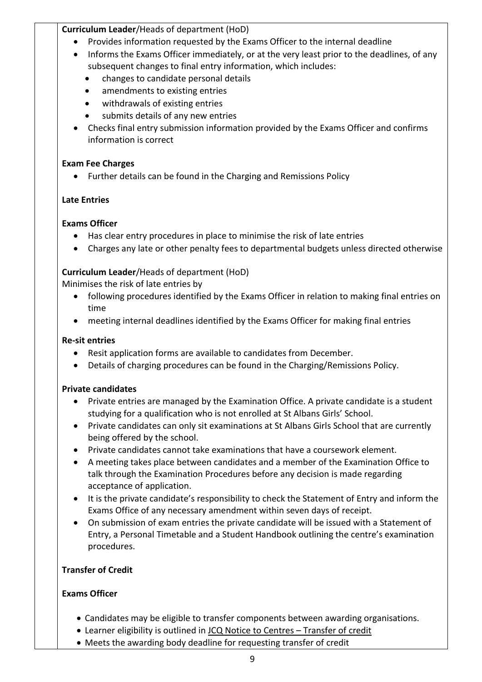## **Curriculum Leader**/Heads of department (HoD)

- Provides information requested by the Exams Officer to the internal deadline
- Informs the Exams Officer immediately, or at the very least prior to the deadlines, of any subsequent changes to final entry information, which includes:
	- changes to candidate personal details
	- amendments to existing entries
	- withdrawals of existing entries
	- submits details of any new entries
- Checks final entry submission information provided by the Exams Officer and confirms information is correct

## **Exam Fee Charges**

Further details can be found in the Charging and Remissions Policy

# **Late Entries**

## **Exams Officer**

- Has clear entry procedures in place to minimise the risk of late entries
- Charges any late or other penalty fees to departmental budgets unless directed otherwise

## **Curriculum Leader**/Heads of department (HoD)

Minimises the risk of late entries by

- following procedures identified by the Exams Officer in relation to making final entries on time
- meeting internal deadlines identified by the Exams Officer for making final entries

## **Re-sit entries**

- Resit application forms are available to candidates from December.
- Details of charging procedures can be found in the Charging/Remissions Policy.

# **Private candidates**

- Private entries are managed by the Examination Office. A private candidate is a student studying for a qualification who is not enrolled at St Albans Girls' School.
- Private candidates can only sit examinations at St Albans Girls School that are currently being offered by the school.
- Private candidates cannot take examinations that have a coursework element.
- A meeting takes place between candidates and a member of the Examination Office to talk through the Examination Procedures before any decision is made regarding acceptance of application.
- It is the private candidate's responsibility to check the Statement of Entry and inform the Exams Office of any necessary amendment within seven days of receipt.
- On submission of exam entries the private candidate will be issued with a Statement of Entry, a Personal Timetable and a Student Handbook outlining the centre's examination procedures.

# **Transfer of Credit**

- Candidates may be eligible to transfer components between awarding organisations.
- Learner eligibility is outlined in JCQ Notice to Centres Transfer of credit
- Meets the awarding body deadline for requesting transfer of credit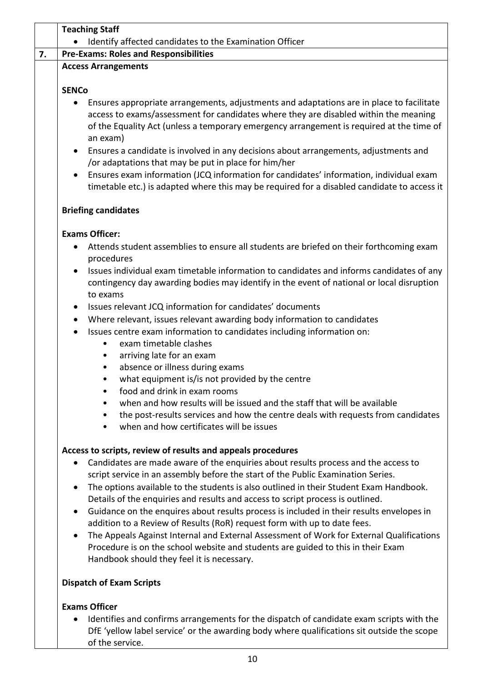|                        | <b>Teaching Staff</b>                                                                                                                                                                                                                                                                                                                                                            |  |  |  |
|------------------------|----------------------------------------------------------------------------------------------------------------------------------------------------------------------------------------------------------------------------------------------------------------------------------------------------------------------------------------------------------------------------------|--|--|--|
|                        | Identify affected candidates to the Examination Officer                                                                                                                                                                                                                                                                                                                          |  |  |  |
|                        | <b>Pre-Exams: Roles and Responsibilities</b>                                                                                                                                                                                                                                                                                                                                     |  |  |  |
|                        | <b>Access Arrangements</b>                                                                                                                                                                                                                                                                                                                                                       |  |  |  |
| <b>SENCo</b>           |                                                                                                                                                                                                                                                                                                                                                                                  |  |  |  |
| $\bullet$<br>$\bullet$ | Ensures appropriate arrangements, adjustments and adaptations are in place to facilitate<br>access to exams/assessment for candidates where they are disabled within the meaning<br>of the Equality Act (unless a temporary emergency arrangement is required at the time of<br>an exam)<br>Ensures a candidate is involved in any decisions about arrangements, adjustments and |  |  |  |
|                        | /or adaptations that may be put in place for him/her                                                                                                                                                                                                                                                                                                                             |  |  |  |
| $\bullet$              | Ensures exam information (JCQ information for candidates' information, individual exam                                                                                                                                                                                                                                                                                           |  |  |  |
|                        | timetable etc.) is adapted where this may be required for a disabled candidate to access it                                                                                                                                                                                                                                                                                      |  |  |  |
|                        | <b>Briefing candidates</b>                                                                                                                                                                                                                                                                                                                                                       |  |  |  |
|                        | <b>Exams Officer:</b>                                                                                                                                                                                                                                                                                                                                                            |  |  |  |
| $\bullet$              | Attends student assemblies to ensure all students are briefed on their forthcoming exam<br>procedures                                                                                                                                                                                                                                                                            |  |  |  |
| $\bullet$              | Issues individual exam timetable information to candidates and informs candidates of any<br>contingency day awarding bodies may identify in the event of national or local disruption<br>to exams                                                                                                                                                                                |  |  |  |
| $\bullet$              | Issues relevant JCQ information for candidates' documents                                                                                                                                                                                                                                                                                                                        |  |  |  |
| $\bullet$              | Where relevant, issues relevant awarding body information to candidates                                                                                                                                                                                                                                                                                                          |  |  |  |
| $\bullet$              | Issues centre exam information to candidates including information on:<br>exam timetable clashes<br>٠                                                                                                                                                                                                                                                                            |  |  |  |
|                        | arriving late for an exam<br>٠                                                                                                                                                                                                                                                                                                                                                   |  |  |  |
|                        | absence or illness during exams<br>٠                                                                                                                                                                                                                                                                                                                                             |  |  |  |
|                        | what equipment is/is not provided by the centre                                                                                                                                                                                                                                                                                                                                  |  |  |  |
|                        | food and drink in exam rooms                                                                                                                                                                                                                                                                                                                                                     |  |  |  |
|                        | when and how results will be issued and the staff that will be available<br>the post-results services and how the centre deals with requests from candidates<br>when and how certificates will be issues                                                                                                                                                                         |  |  |  |
|                        | Access to scripts, review of results and appeals procedures                                                                                                                                                                                                                                                                                                                      |  |  |  |
| $\bullet$<br>$\bullet$ | Candidates are made aware of the enquiries about results process and the access to<br>script service in an assembly before the start of the Public Examination Series.<br>The options available to the students is also outlined in their Student Exam Handbook.<br>Details of the enquiries and results and access to script process is outlined.                               |  |  |  |
| $\bullet$              | Guidance on the enquires about results process is included in their results envelopes in<br>addition to a Review of Results (RoR) request form with up to date fees.                                                                                                                                                                                                             |  |  |  |
| $\bullet$              | The Appeals Against Internal and External Assessment of Work for External Qualifications                                                                                                                                                                                                                                                                                         |  |  |  |
|                        | Procedure is on the school website and students are guided to this in their Exam<br>Handbook should they feel it is necessary.                                                                                                                                                                                                                                                   |  |  |  |
|                        | <b>Dispatch of Exam Scripts</b>                                                                                                                                                                                                                                                                                                                                                  |  |  |  |
|                        | <b>Exams Officer</b>                                                                                                                                                                                                                                                                                                                                                             |  |  |  |
| $\bullet$              | Identifies and confirms arrangements for the dispatch of candidate exam scripts with the<br>DfE 'yellow label service' or the awarding body where qualifications sit outside the scope                                                                                                                                                                                           |  |  |  |

of the service.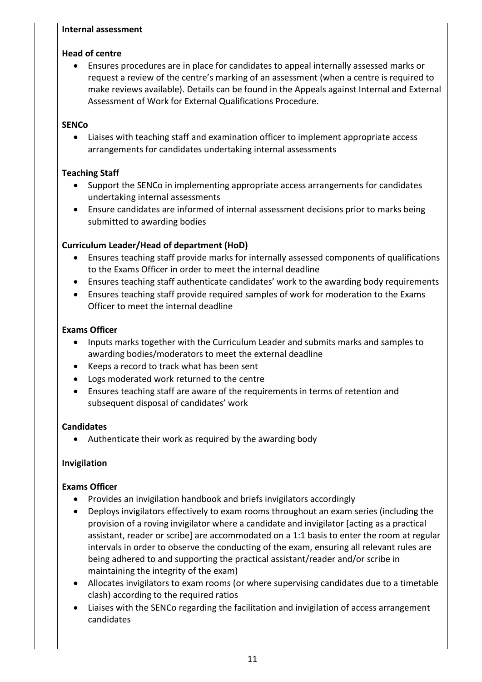#### **Internal assessment**

## **Head of centre**

 Ensures procedures are in place for candidates to appeal internally assessed marks or request a review of the centre's marking of an assessment (when a centre is required to make reviews available). Details can be found in the Appeals against Internal and External Assessment of Work for External Qualifications Procedure.

# **SENCo**

 Liaises with teaching staff and examination officer to implement appropriate access arrangements for candidates undertaking internal assessments

# **Teaching Staff**

- Support the SENCo in implementing appropriate access arrangements for candidates undertaking internal assessments
- Ensure candidates are informed of internal assessment decisions prior to marks being submitted to awarding bodies

# **Curriculum Leader/Head of department (HoD)**

- Ensures teaching staff provide marks for internally assessed components of qualifications to the Exams Officer in order to meet the internal deadline
- Ensures teaching staff authenticate candidates' work to the awarding body requirements
- Ensures teaching staff provide required samples of work for moderation to the Exams Officer to meet the internal deadline

# **Exams Officer**

- Inputs marks together with the Curriculum Leader and submits marks and samples to awarding bodies/moderators to meet the external deadline
- Keeps a record to track what has been sent
- Logs moderated work returned to the centre
- Ensures teaching staff are aware of the requirements in terms of retention and subsequent disposal of candidates' work

# **Candidates**

Authenticate their work as required by the awarding body

# **Invigilation**

- Provides an invigilation handbook and briefs invigilators accordingly
- Deploys invigilators effectively to exam rooms throughout an exam series (including the provision of a roving invigilator where a candidate and invigilator [acting as a practical assistant, reader or scribe] are accommodated on a 1:1 basis to enter the room at regular intervals in order to observe the conducting of the exam, ensuring all relevant rules are being adhered to and supporting the practical assistant/reader and/or scribe in maintaining the integrity of the exam)
- Allocates invigilators to exam rooms (or where supervising candidates due to a timetable clash) according to the required ratios
- Liaises with the SENCo regarding the facilitation and invigilation of access arrangement candidates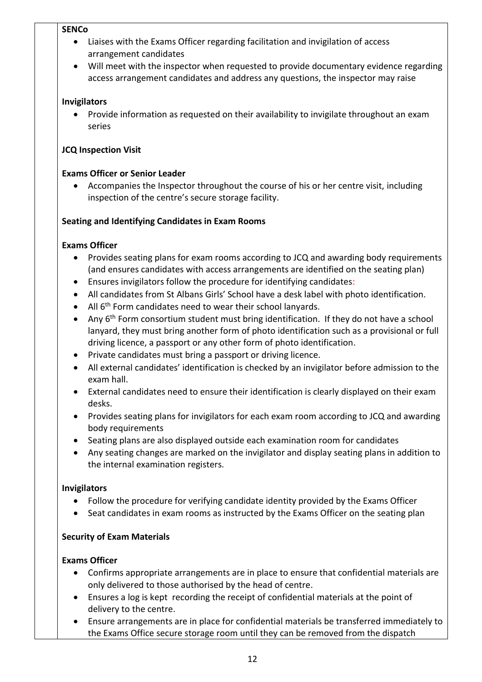#### **SENCo**

- Liaises with the Exams Officer regarding facilitation and invigilation of access arrangement candidates
- Will meet with the inspector when requested to provide documentary evidence regarding access arrangement candidates and address any questions, the inspector may raise

## **Invigilators**

 Provide information as requested on their availability to invigilate throughout an exam series

## **JCQ Inspection Visit**

## **Exams Officer or Senior Leader**

 Accompanies the Inspector throughout the course of his or her centre visit, including inspection of the centre's secure storage facility.

## **Seating and Identifying Candidates in Exam Rooms**

### **Exams Officer**

- Provides seating plans for exam rooms according to JCQ and awarding body requirements (and ensures candidates with access arrangements are identified on the seating plan)
- Ensures invigilators follow the procedure for identifying candidates:
- All candidates from St Albans Girls' School have a desk label with photo identification.
- All 6<sup>th</sup> Form candidates need to wear their school lanyards.
- Any  $6<sup>th</sup>$  Form consortium student must bring identification. If they do not have a school lanyard, they must bring another form of photo identification such as a provisional or full driving licence, a passport or any other form of photo identification.
- Private candidates must bring a passport or driving licence.
- All external candidates' identification is checked by an invigilator before admission to the exam hall.
- External candidates need to ensure their identification is clearly displayed on their exam desks.
- Provides seating plans for invigilators for each exam room according to JCQ and awarding body requirements
- Seating plans are also displayed outside each examination room for candidates
- Any seating changes are marked on the invigilator and display seating plans in addition to the internal examination registers.

### **Invigilators**

- Follow the procedure for verifying candidate identity provided by the Exams Officer
- Seat candidates in exam rooms as instructed by the Exams Officer on the seating plan

# **Security of Exam Materials**

- Confirms appropriate arrangements are in place to ensure that confidential materials are only delivered to those authorised by the head of centre.
- Ensures a log is kept recording the receipt of confidential materials at the point of delivery to the centre.
- Ensure arrangements are in place for confidential materials be transferred immediately to the Exams Office secure storage room until they can be removed from the dispatch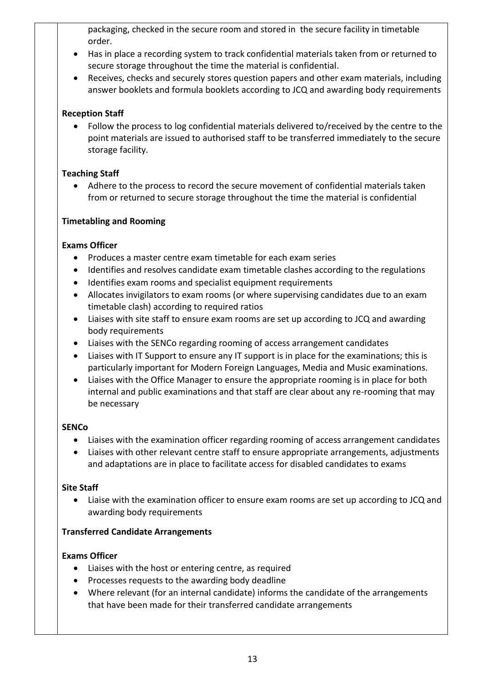packaging, checked in the secure room and stored in the secure facility in timetable order.

- Has in place a recording system to track confidential materials taken from or returned to secure storage throughout the time the material is confidential.
- Receives, checks and securely stores question papers and other exam materials, including answer booklets and formula booklets according to JCQ and awarding body requirements

## **Reception Staff**

 Follow the process to log confidential materials delivered to/received by the centre to the point materials are issued to authorised staff to be transferred immediately to the secure storage facility.

## **Teaching Staff**

 Adhere to the process to record the secure movement of confidential materials taken from or returned to secure storage throughout the time the material is confidential

## **Timetabling and Rooming**

## **Exams Officer**

- Produces a master centre exam timetable for each exam series
- Identifies and resolves candidate exam timetable clashes according to the regulations
- Identifies exam rooms and specialist equipment requirements
- Allocates invigilators to exam rooms (or where supervising candidates due to an exam timetable clash) according to required ratios
- Liaises with site staff to ensure exam rooms are set up according to JCQ and awarding body requirements
- Liaises with the SENCo regarding rooming of access arrangement candidates
- Liaises with IT Support to ensure any IT support is in place for the examinations; this is particularly important for Modern Foreign Languages, Media and Music examinations.
- Liaises with the Office Manager to ensure the appropriate rooming is in place for both internal and public examinations and that staff are clear about any re-rooming that may be necessary

### **SENCo**

- Liaises with the examination officer regarding rooming of access arrangement candidates
- Liaises with other relevant centre staff to ensure appropriate arrangements, adjustments and adaptations are in place to facilitate access for disabled candidates to exams

### **Site Staff**

 Liaise with the examination officer to ensure exam rooms are set up according to JCQ and awarding body requirements

### **Transferred Candidate Arrangements**

- Liaises with the host or entering centre, as required
- Processes requests to the awarding body deadline
- Where relevant (for an internal candidate) informs the candidate of the arrangements that have been made for their transferred candidate arrangements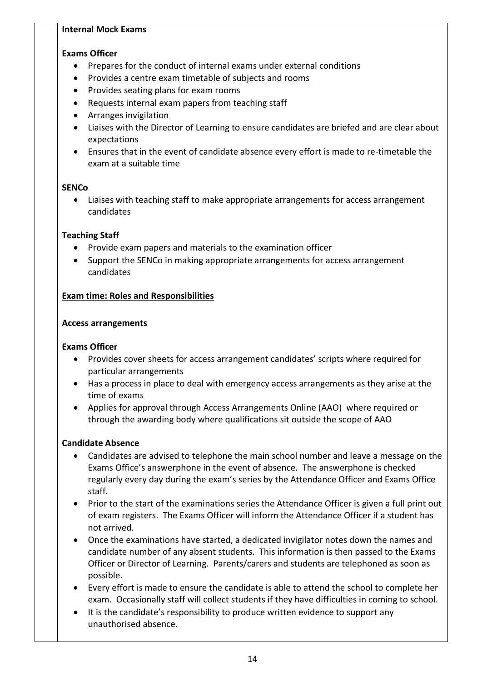#### **Internal Mock Exams**

#### **Exams Officer**

- Prepares for the conduct of internal exams under external conditions
- Provides a centre exam timetable of subjects and rooms
- Provides seating plans for exam rooms
- Requests internal exam papers from teaching staff
- Arranges invigilation
- Liaises with the Director of Learning to ensure candidates are briefed and are clear about expectations
- Ensures that in the event of candidate absence every effort is made to re-timetable the exam at a suitable time

#### **SENCo**

 Liaises with teaching staff to make appropriate arrangements for access arrangement candidates

### **Teaching Staff**

- Provide exam papers and materials to the examination officer
- Support the SENCo in making appropriate arrangements for access arrangement candidates

### **Exam time: Roles and Responsibilities**

#### **Access arrangements**

#### **Exams Officer**

- Provides cover sheets for access arrangement candidates' scripts where required for particular arrangements
- Has a process in place to deal with emergency access arrangements as they arise at the time of exams
- Applies for approval through Access Arrangements Online (AAO) where required or through the awarding body where qualifications sit outside the scope of AAO

### **Candidate Absence**

- Candidates are advised to telephone the main school number and leave a message on the Exams Office's answerphone in the event of absence. The answerphone is checked regularly every day during the exam's series by the Attendance Officer and Exams Office staff.
- Prior to the start of the examinations series the Attendance Officer is given a full print out of exam registers. The Exams Officer will inform the Attendance Officer if a student has not arrived.
- Once the examinations have started, a dedicated invigilator notes down the names and candidate number of any absent students. This information is then passed to the Exams Officer or Director of Learning. Parents/carers and students are telephoned as soon as possible.
- Every effort is made to ensure the candidate is able to attend the school to complete her exam. Occasionally staff will collect students if they have difficulties in coming to school.
- It is the candidate's responsibility to produce written evidence to support any unauthorised absence.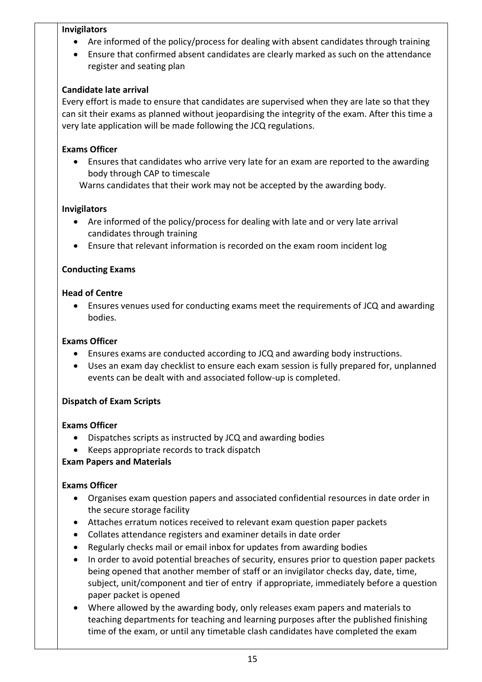#### **Invigilators**

- Are informed of the policy/process for dealing with absent candidates through training
- Ensure that confirmed absent candidates are clearly marked as such on the attendance register and seating plan

### **Candidate late arrival**

Every effort is made to ensure that candidates are supervised when they are late so that they can sit their exams as planned without jeopardising the integrity of the exam. After this time a very late application will be made following the JCQ regulations.

## **Exams Officer**

 Ensures that candidates who arrive very late for an exam are reported to the awarding body through CAP to timescale

Warns candidates that their work may not be accepted by the awarding body.

## **Invigilators**

- Are informed of the policy/process for dealing with late and or very late arrival candidates through training
- Ensure that relevant information is recorded on the exam room incident log

## **Conducting Exams**

### **Head of Centre**

 Ensures venues used for conducting exams meet the requirements of JCQ and awarding bodies.

### **Exams Officer**

- Ensures exams are conducted according to JCQ and awarding body instructions.
- Uses an exam day checklist to ensure each exam session is fully prepared for, unplanned events can be dealt with and associated follow-up is completed.

### **Dispatch of Exam Scripts**

### **Exams Officer**

- Dispatches scripts as instructed by JCQ and awarding bodies
- Keeps appropriate records to track dispatch

# **Exam Papers and Materials**

- Organises exam question papers and associated confidential resources in date order in the secure storage facility
- Attaches erratum notices received to relevant exam question paper packets
- Collates attendance registers and examiner details in date order
- Regularly checks mail or email inbox for updates from awarding bodies
- In order to avoid potential breaches of security, ensures prior to question paper packets being opened that another member of staff or an invigilator checks day, date, time, subject, unit/component and tier of entry if appropriate, immediately before a question paper packet is opened
- Where allowed by the awarding body, only releases exam papers and materials to teaching departments for teaching and learning purposes after the published finishing time of the exam, or until any timetable clash candidates have completed the exam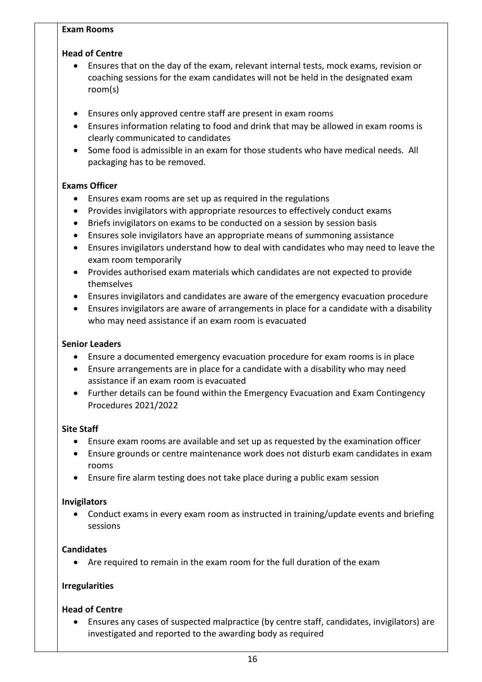#### **Exam Rooms**

### **Head of Centre**

- Ensures that on the day of the exam, relevant internal tests, mock exams, revision or coaching sessions for the exam candidates will not be held in the designated exam room(s)
- Ensures only approved centre staff are present in exam rooms
- Ensures information relating to food and drink that may be allowed in exam rooms is clearly communicated to candidates
- Some food is admissible in an exam for those students who have medical needs. All packaging has to be removed.

### **Exams Officer**

- Ensures exam rooms are set up as required in the regulations
- Provides invigilators with appropriate resources to effectively conduct exams
- Briefs invigilators on exams to be conducted on a session by session basis
- Ensures sole invigilators have an appropriate means of summoning assistance
- Ensures invigilators understand how to deal with candidates who may need to leave the exam room temporarily
- Provides authorised exam materials which candidates are not expected to provide themselves
- Ensures invigilators and candidates are aware of the emergency evacuation procedure
- Ensures invigilators are aware of arrangements in place for a candidate with a disability who may need assistance if an exam room is evacuated

### **Senior Leaders**

- Ensure a documented emergency evacuation procedure for exam rooms is in place
- Ensure arrangements are in place for a candidate with a disability who may need assistance if an exam room is evacuated
- Further details can be found within the Emergency Evacuation and Exam Contingency Procedures 2021/2022

### **Site Staff**

- Ensure exam rooms are available and set up as requested by the examination officer
- Ensure grounds or centre maintenance work does not disturb exam candidates in exam rooms
- Ensure fire alarm testing does not take place during a public exam session

### **Invigilators**

 Conduct exams in every exam room as instructed in training/update events and briefing sessions

# **Candidates**

Are required to remain in the exam room for the full duration of the exam

### **Irregularities**

### **Head of Centre**

 Ensures any cases of suspected malpractice (by centre staff, candidates, invigilators) are investigated and reported to the awarding body as required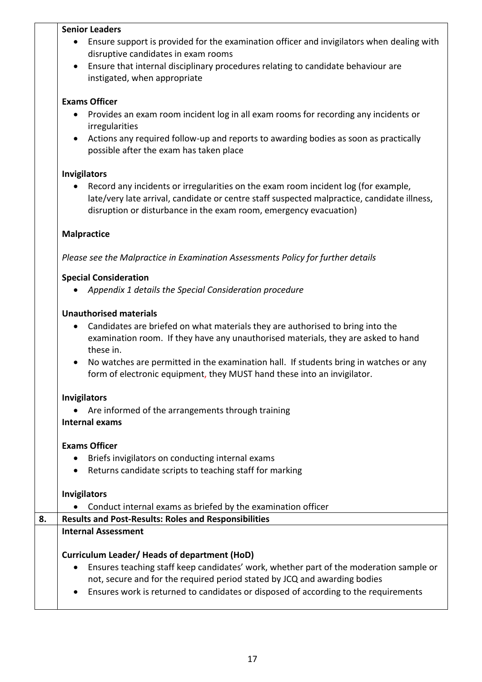#### **Senior Leaders**

- Ensure support is provided for the examination officer and invigilators when dealing with disruptive candidates in exam rooms
- Ensure that internal disciplinary procedures relating to candidate behaviour are instigated, when appropriate

#### **Exams Officer**

- Provides an exam room incident log in all exam rooms for recording any incidents or irregularities
- Actions any required follow-up and reports to awarding bodies as soon as practically possible after the exam has taken place

#### **Invigilators**

 Record any incidents or irregularities on the exam room incident log (for example, late/very late arrival, candidate or centre staff suspected malpractice, candidate illness, disruption or disturbance in the exam room, emergency evacuation)

#### **Malpractice**

*Please see the Malpractice in Examination Assessments Policy for further details*

#### **Special Consideration**

*Appendix 1 details the Special Consideration procedure*

#### **Unauthorised materials**

- Candidates are briefed on what materials they are authorised to bring into the examination room. If they have any unauthorised materials, they are asked to hand these in.
- No watches are permitted in the examination hall. If students bring in watches or any form of electronic equipment, they MUST hand these into an invigilator.

#### **Invigilators**

Are informed of the arrangements through training

#### **Internal exams**

### **Exams Officer**

- Briefs invigilators on conducting internal exams
- Returns candidate scripts to teaching staff for marking

#### **Invigilators**

Conduct internal exams as briefed by the examination officer

# **8. Results and Post-Results: Roles and Responsibilities Internal Assessment Curriculum Leader/ Heads of department (HoD)** Ensures teaching staff keep candidates' work, whether part of the moderation sample or not, secure and for the required period stated by JCQ and awarding bodies

Ensures work is returned to candidates or disposed of according to the requirements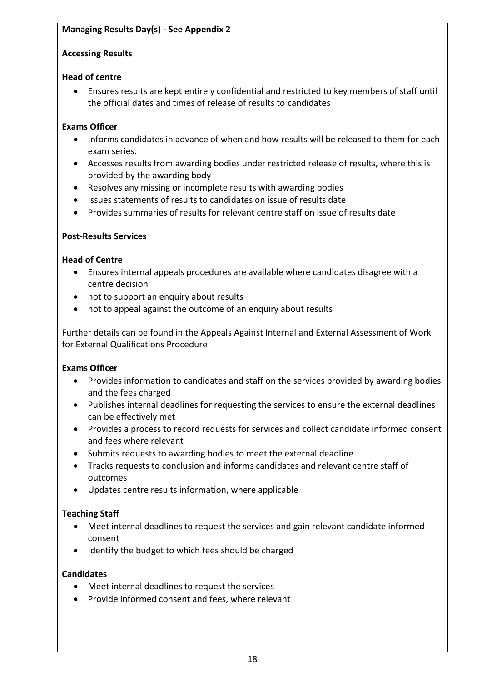## **Accessing Results**

## **Head of centre**

 Ensures results are kept entirely confidential and restricted to key members of staff until the official dates and times of release of results to candidates

# **Exams Officer**

- Informs candidates in advance of when and how results will be released to them for each exam series.
- Accesses results from awarding bodies under restricted release of results, where this is provided by the awarding body
- Resolves any missing or incomplete results with awarding bodies
- Issues statements of results to candidates on issue of results date
- Provides summaries of results for relevant centre staff on issue of results date

# **Post-Results Services**

## **Head of Centre**

- Ensures internal appeals procedures are available where candidates disagree with a centre decision
- not to support an enquiry about results
- not to appeal against the outcome of an enquiry about results

Further details can be found in the Appeals Against Internal and External Assessment of Work for External Qualifications Procedure

# **Exams Officer**

- Provides information to candidates and staff on the services provided by awarding bodies and the fees charged
- Publishes internal deadlines for requesting the services to ensure the external deadlines can be effectively met
- Provides a process to record requests for services and collect candidate informed consent and fees where relevant
- Submits requests to awarding bodies to meet the external deadline
- Tracks requests to conclusion and informs candidates and relevant centre staff of outcomes
- Updates centre results information, where applicable

# **Teaching Staff**

- Meet internal deadlines to request the services and gain relevant candidate informed consent
- Identify the budget to which fees should be charged

# **Candidates**

- Meet internal deadlines to request the services
- Provide informed consent and fees, where relevant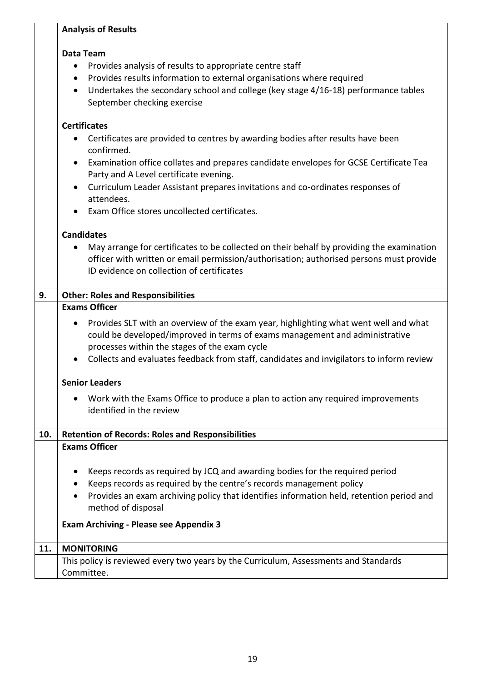#### **Data Team**

- Provides analysis of results to appropriate centre staff
- Provides results information to external organisations where required
- Undertakes the secondary school and college (key stage 4/16-18) performance tables September checking exercise

## **Certificates**

- Certificates are provided to centres by awarding bodies after results have been confirmed.
- Examination office collates and prepares candidate envelopes for GCSE Certificate Tea Party and A Level certificate evening.
- Curriculum Leader Assistant prepares invitations and co-ordinates responses of attendees.
- Exam Office stores uncollected certificates.

#### **Candidates**

 May arrange for certificates to be collected on their behalf by providing the examination officer with written or email permission/authorisation; authorised persons must provide ID evidence on collection of certificates

| 9.  | <b>Other: Roles and Responsibilities</b>                                                                                                                                                                                                                                                                                      |  |  |  |
|-----|-------------------------------------------------------------------------------------------------------------------------------------------------------------------------------------------------------------------------------------------------------------------------------------------------------------------------------|--|--|--|
|     | <b>Exams Officer</b>                                                                                                                                                                                                                                                                                                          |  |  |  |
|     | Provides SLT with an overview of the exam year, highlighting what went well and what<br>$\bullet$<br>could be developed/improved in terms of exams management and administrative<br>processes within the stages of the exam cycle<br>Collects and evaluates feedback from staff, candidates and invigilators to inform review |  |  |  |
|     | <b>Senior Leaders</b>                                                                                                                                                                                                                                                                                                         |  |  |  |
|     | Work with the Exams Office to produce a plan to action any required improvements<br>$\bullet$<br>identified in the review                                                                                                                                                                                                     |  |  |  |
| 10. | <b>Retention of Records: Roles and Responsibilities</b>                                                                                                                                                                                                                                                                       |  |  |  |
|     | <b>Exams Officer</b>                                                                                                                                                                                                                                                                                                          |  |  |  |
|     | Keeps records as required by JCQ and awarding bodies for the required period<br>$\bullet$<br>Keeps records as required by the centre's records management policy<br>$\bullet$<br>Provides an exam archiving policy that identifies information held, retention period and<br>$\bullet$<br>method of disposal                  |  |  |  |
|     | <b>Exam Archiving - Please see Appendix 3</b>                                                                                                                                                                                                                                                                                 |  |  |  |
| 11. | <b>MONITORING</b>                                                                                                                                                                                                                                                                                                             |  |  |  |
|     | This policy is reviewed every two years by the Curriculum, Assessments and Standards                                                                                                                                                                                                                                          |  |  |  |
|     | Committee.                                                                                                                                                                                                                                                                                                                    |  |  |  |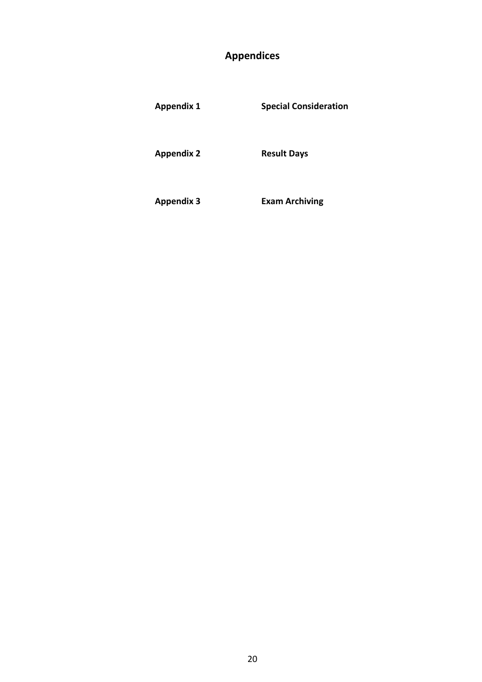# **Appendices**

| <b>Appendix 1</b> | <b>Special Consideration</b> |
|-------------------|------------------------------|
| <b>Appendix 2</b> | <b>Result Days</b>           |
| <b>Appendix 3</b> | <b>Exam Archiving</b>        |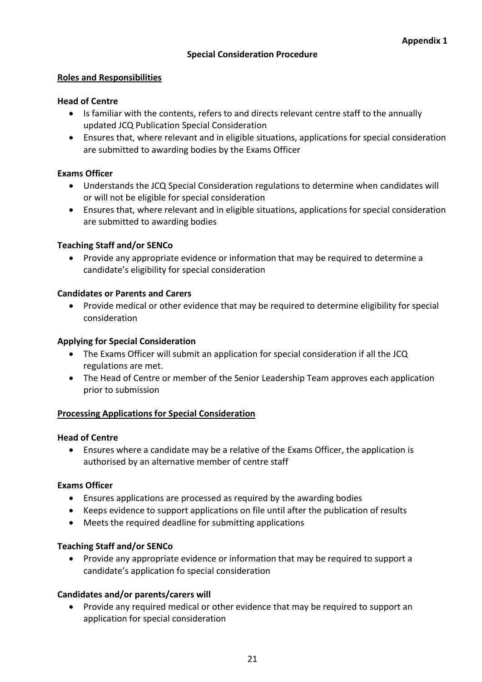## **Special Consideration Procedure**

#### **Roles and Responsibilities**

#### **Head of Centre**

- Is familiar with the contents, refers to and directs relevant centre staff to the annually updated JCQ Publication Special Consideration
- Ensures that, where relevant and in eligible situations, applications for special consideration are submitted to awarding bodies by the Exams Officer

#### **Exams Officer**

- Understands the JCQ Special Consideration regulations to determine when candidates will or will not be eligible for special consideration
- Ensures that, where relevant and in eligible situations, applications for special consideration are submitted to awarding bodies

#### **Teaching Staff and/or SENCo**

 Provide any appropriate evidence or information that may be required to determine a candidate's eligibility for special consideration

#### **Candidates or Parents and Carers**

 Provide medical or other evidence that may be required to determine eligibility for special consideration

#### **Applying for Special Consideration**

- The Exams Officer will submit an application for special consideration if all the JCQ regulations are met.
- The Head of Centre or member of the Senior Leadership Team approves each application prior to submission

#### **Processing Applications for Special Consideration**

#### **Head of Centre**

 Ensures where a candidate may be a relative of the Exams Officer, the application is authorised by an alternative member of centre staff

#### **Exams Officer**

- Ensures applications are processed as required by the awarding bodies
- Keeps evidence to support applications on file until after the publication of results
- Meets the required deadline for submitting applications

#### **Teaching Staff and/or SENCo**

 Provide any appropriate evidence or information that may be required to support a candidate's application fo special consideration

#### **Candidates and/or parents/carers will**

 Provide any required medical or other evidence that may be required to support an application for special consideration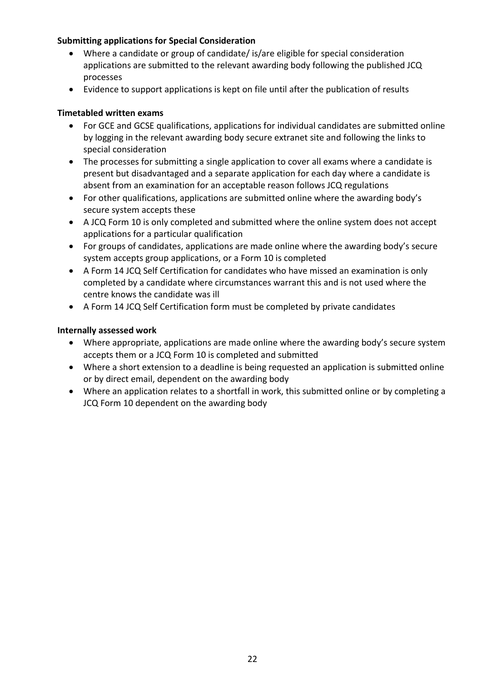## **Submitting applications for Special Consideration**

- Where a candidate or group of candidate/ is/are eligible for special consideration applications are submitted to the relevant awarding body following the published JCQ processes
- Evidence to support applications is kept on file until after the publication of results

## **Timetabled written exams**

- For GCE and GCSE qualifications, applications for individual candidates are submitted online by logging in the relevant awarding body secure extranet site and following the links to special consideration
- The processes for submitting a single application to cover all exams where a candidate is present but disadvantaged and a separate application for each day where a candidate is absent from an examination for an acceptable reason follows JCQ regulations
- For other qualifications, applications are submitted online where the awarding body's secure system accepts these
- A JCQ Form 10 is only completed and submitted where the online system does not accept applications for a particular qualification
- For groups of candidates, applications are made online where the awarding body's secure system accepts group applications, or a Form 10 is completed
- A Form 14 JCQ Self Certification for candidates who have missed an examination is only completed by a candidate where circumstances warrant this and is not used where the centre knows the candidate was ill
- A Form 14 JCQ Self Certification form must be completed by private candidates

### **Internally assessed work**

- Where appropriate, applications are made online where the awarding body's secure system accepts them or a JCQ Form 10 is completed and submitted
- Where a short extension to a deadline is being requested an application is submitted online or by direct email, dependent on the awarding body
- Where an application relates to a shortfall in work, this submitted online or by completing a JCQ Form 10 dependent on the awarding body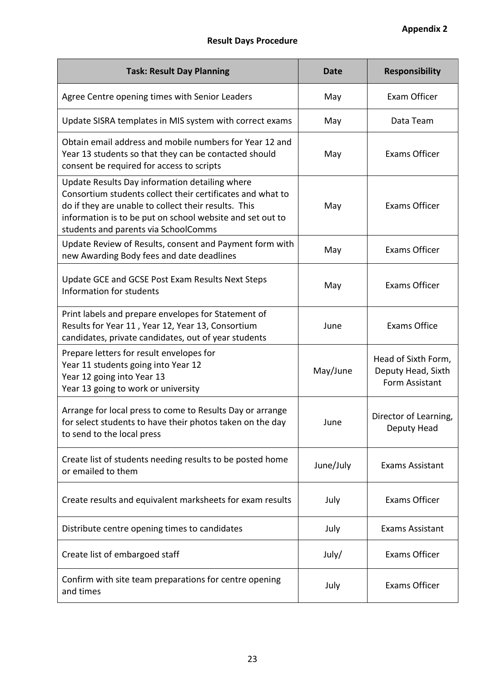# **Result Days Procedure**

| <b>Task: Result Day Planning</b>                                                                                                                                                                                                                                          | <b>Date</b> | <b>Responsibility</b>                                       |
|---------------------------------------------------------------------------------------------------------------------------------------------------------------------------------------------------------------------------------------------------------------------------|-------------|-------------------------------------------------------------|
| Agree Centre opening times with Senior Leaders                                                                                                                                                                                                                            | May         | Exam Officer                                                |
| Update SISRA templates in MIS system with correct exams                                                                                                                                                                                                                   | May         | Data Team                                                   |
| Obtain email address and mobile numbers for Year 12 and<br>Year 13 students so that they can be contacted should<br>consent be required for access to scripts                                                                                                             | May         | Exams Officer                                               |
| Update Results Day information detailing where<br>Consortium students collect their certificates and what to<br>do if they are unable to collect their results. This<br>information is to be put on school website and set out to<br>students and parents via SchoolComms | May         | <b>Exams Officer</b>                                        |
| Update Review of Results, consent and Payment form with<br>new Awarding Body fees and date deadlines                                                                                                                                                                      | May         | <b>Exams Officer</b>                                        |
| Update GCE and GCSE Post Exam Results Next Steps<br>Information for students                                                                                                                                                                                              | May         | Exams Officer                                               |
| Print labels and prepare envelopes for Statement of<br>Results for Year 11, Year 12, Year 13, Consortium<br>candidates, private candidates, out of year students                                                                                                          | June        | <b>Exams Office</b>                                         |
| Prepare letters for result envelopes for<br>Year 11 students going into Year 12<br>Year 12 going into Year 13<br>Year 13 going to work or university                                                                                                                      | May/June    | Head of Sixth Form,<br>Deputy Head, Sixth<br>Form Assistant |
| Arrange for local press to come to Results Day or arrange<br>for select students to have their photos taken on the day<br>to send to the local press                                                                                                                      | June        | Director of Learning,<br>Deputy Head                        |
| Create list of students needing results to be posted home<br>or emailed to them                                                                                                                                                                                           | June/July   | <b>Exams Assistant</b>                                      |
| Create results and equivalent marksheets for exam results                                                                                                                                                                                                                 | July        | Exams Officer                                               |
| Distribute centre opening times to candidates                                                                                                                                                                                                                             | July        | <b>Exams Assistant</b>                                      |
| Create list of embargoed staff                                                                                                                                                                                                                                            | July/       | <b>Exams Officer</b>                                        |
| Confirm with site team preparations for centre opening<br>and times                                                                                                                                                                                                       | July        | <b>Exams Officer</b>                                        |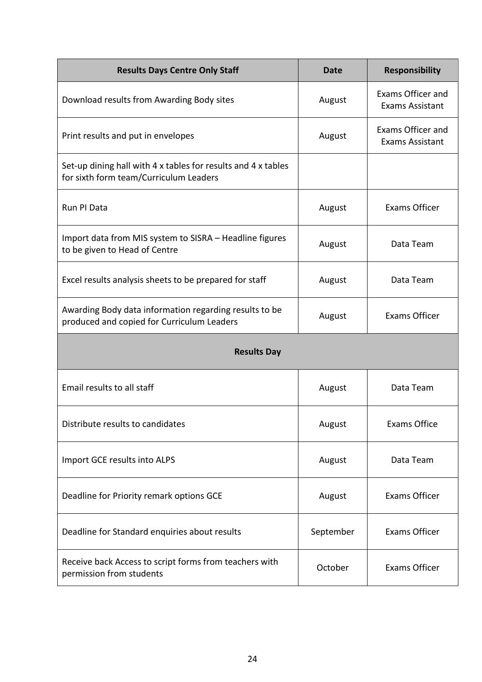| <b>Results Days Centre Only Staff</b>                                                                   | Date      | <b>Responsibility</b>                       |  |
|---------------------------------------------------------------------------------------------------------|-----------|---------------------------------------------|--|
| Download results from Awarding Body sites                                                               | August    | Exams Officer and<br><b>Exams Assistant</b> |  |
| Print results and put in envelopes                                                                      | August    | Exams Officer and<br><b>Exams Assistant</b> |  |
| Set-up dining hall with 4 x tables for results and 4 x tables<br>for sixth form team/Curriculum Leaders |           |                                             |  |
| Run PI Data                                                                                             | August    | <b>Exams Officer</b>                        |  |
| Import data from MIS system to SISRA - Headline figures<br>to be given to Head of Centre                | August    | Data Team                                   |  |
| Excel results analysis sheets to be prepared for staff                                                  | August    | Data Team                                   |  |
| Awarding Body data information regarding results to be<br>produced and copied for Curriculum Leaders    | August    | Exams Officer                               |  |
| <b>Results Day</b>                                                                                      |           |                                             |  |
| Email results to all staff                                                                              | August    | Data Team                                   |  |
| Distribute results to candidates                                                                        | August    | <b>Exams Office</b>                         |  |
| Import GCE results into ALPS                                                                            | August    | Data Team                                   |  |
| Deadline for Priority remark options GCE                                                                | August    | Exams Officer                               |  |
| Deadline for Standard enquiries about results                                                           | September | Exams Officer                               |  |
| Receive back Access to script forms from teachers with<br>permission from students                      | October   | <b>Exams Officer</b>                        |  |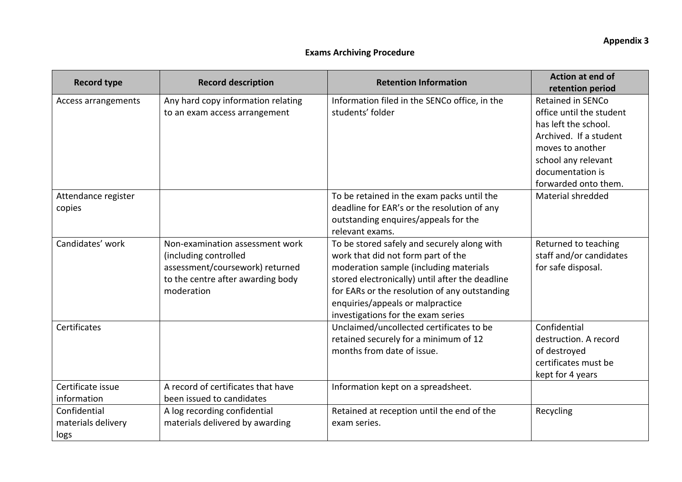### **Exams Archiving Procedure**

| <b>Record type</b>                         | <b>Record description</b>                                                                                                                      | <b>Retention Information</b>                                                                                                                                                                                                                                                                              | <b>Action at end of</b><br>retention period                                                                                                                                                   |
|--------------------------------------------|------------------------------------------------------------------------------------------------------------------------------------------------|-----------------------------------------------------------------------------------------------------------------------------------------------------------------------------------------------------------------------------------------------------------------------------------------------------------|-----------------------------------------------------------------------------------------------------------------------------------------------------------------------------------------------|
| Access arrangements                        | Any hard copy information relating<br>to an exam access arrangement                                                                            | Information filed in the SENCo office, in the<br>students' folder                                                                                                                                                                                                                                         | <b>Retained in SENCo</b><br>office until the student<br>has left the school.<br>Archived. If a student<br>moves to another<br>school any relevant<br>documentation is<br>forwarded onto them. |
| Attendance register<br>copies              |                                                                                                                                                | To be retained in the exam packs until the<br>deadline for EAR's or the resolution of any<br>outstanding enquires/appeals for the<br>relevant exams.                                                                                                                                                      | Material shredded                                                                                                                                                                             |
| Candidates' work                           | Non-examination assessment work<br>(including controlled<br>assessment/coursework) returned<br>to the centre after awarding body<br>moderation | To be stored safely and securely along with<br>work that did not form part of the<br>moderation sample (including materials<br>stored electronically) until after the deadline<br>for EARs or the resolution of any outstanding<br>enquiries/appeals or malpractice<br>investigations for the exam series | Returned to teaching<br>staff and/or candidates<br>for safe disposal.                                                                                                                         |
| Certificates                               |                                                                                                                                                | Unclaimed/uncollected certificates to be<br>retained securely for a minimum of 12<br>months from date of issue.                                                                                                                                                                                           | Confidential<br>destruction. A record<br>of destroyed<br>certificates must be<br>kept for 4 years                                                                                             |
| Certificate issue<br>information           | A record of certificates that have<br>been issued to candidates                                                                                | Information kept on a spreadsheet.                                                                                                                                                                                                                                                                        |                                                                                                                                                                                               |
| Confidential<br>materials delivery<br>logs | A log recording confidential<br>materials delivered by awarding                                                                                | Retained at reception until the end of the<br>exam series.                                                                                                                                                                                                                                                | Recycling                                                                                                                                                                                     |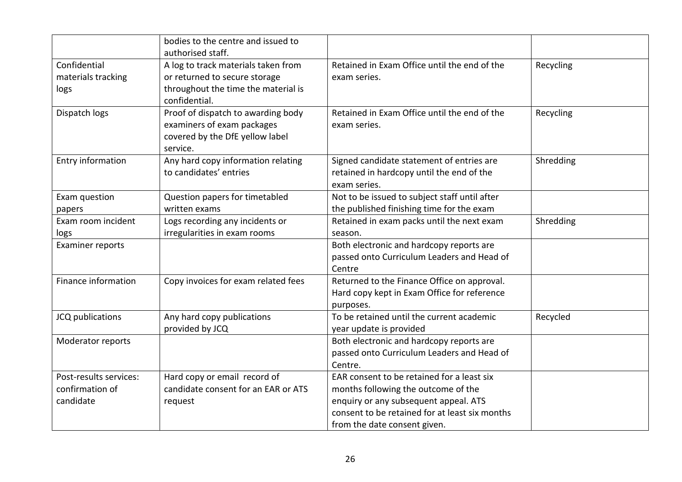|                                                        | bodies to the centre and issued to<br>authorised staff.                                                                      |                                                                                                                                                                                                              |           |
|--------------------------------------------------------|------------------------------------------------------------------------------------------------------------------------------|--------------------------------------------------------------------------------------------------------------------------------------------------------------------------------------------------------------|-----------|
| Confidential<br>materials tracking<br>logs             | A log to track materials taken from<br>or returned to secure storage<br>throughout the time the material is<br>confidential. | Retained in Exam Office until the end of the<br>exam series.                                                                                                                                                 | Recycling |
| Dispatch logs                                          | Proof of dispatch to awarding body<br>examiners of exam packages<br>covered by the DfE yellow label<br>service.              | Retained in Exam Office until the end of the<br>exam series.                                                                                                                                                 | Recycling |
| Entry information                                      | Any hard copy information relating<br>to candidates' entries                                                                 | Signed candidate statement of entries are<br>retained in hardcopy until the end of the<br>exam series.                                                                                                       | Shredding |
| Exam question<br>papers                                | Question papers for timetabled<br>written exams                                                                              | Not to be issued to subject staff until after<br>the published finishing time for the exam                                                                                                                   |           |
| Exam room incident<br>logs                             | Logs recording any incidents or<br>irregularities in exam rooms                                                              | Retained in exam packs until the next exam<br>season.                                                                                                                                                        | Shredding |
| <b>Examiner reports</b>                                |                                                                                                                              | Both electronic and hardcopy reports are<br>passed onto Curriculum Leaders and Head of<br>Centre                                                                                                             |           |
| Finance information                                    | Copy invoices for exam related fees                                                                                          | Returned to the Finance Office on approval.<br>Hard copy kept in Exam Office for reference<br>purposes.                                                                                                      |           |
| JCQ publications                                       | Any hard copy publications<br>provided by JCQ                                                                                | To be retained until the current academic<br>year update is provided                                                                                                                                         | Recycled  |
| Moderator reports                                      |                                                                                                                              | Both electronic and hardcopy reports are<br>passed onto Curriculum Leaders and Head of<br>Centre.                                                                                                            |           |
| Post-results services:<br>confirmation of<br>candidate | Hard copy or email record of<br>candidate consent for an EAR or ATS<br>request                                               | EAR consent to be retained for a least six<br>months following the outcome of the<br>enquiry or any subsequent appeal. ATS<br>consent to be retained for at least six months<br>from the date consent given. |           |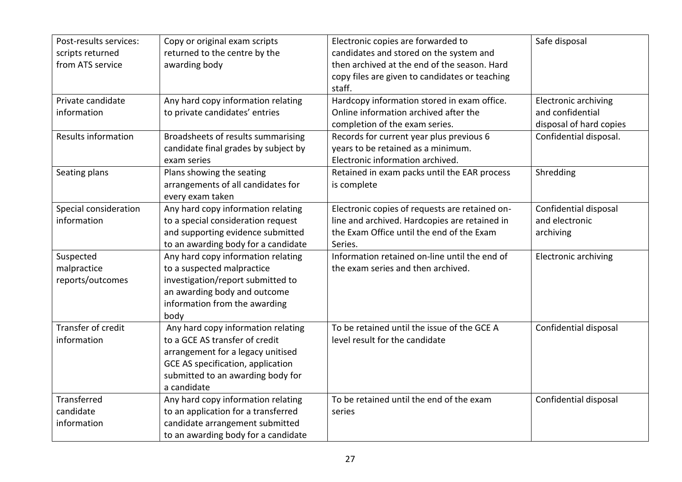| Post-results services:<br>scripts returned<br>from ATS service | Copy or original exam scripts<br>returned to the centre by the<br>awarding body                                                                                                                    | Electronic copies are forwarded to<br>candidates and stored on the system and<br>then archived at the end of the season. Hard<br>copy files are given to candidates or teaching<br>staff. | Safe disposal                                                              |
|----------------------------------------------------------------|----------------------------------------------------------------------------------------------------------------------------------------------------------------------------------------------------|-------------------------------------------------------------------------------------------------------------------------------------------------------------------------------------------|----------------------------------------------------------------------------|
| Private candidate<br>information                               | Any hard copy information relating<br>to private candidates' entries                                                                                                                               | Hardcopy information stored in exam office.<br>Online information archived after the<br>completion of the exam series.                                                                    | <b>Electronic archiving</b><br>and confidential<br>disposal of hard copies |
| Results information                                            | Broadsheets of results summarising<br>candidate final grades by subject by<br>exam series                                                                                                          | Records for current year plus previous 6<br>years to be retained as a minimum.<br>Electronic information archived.                                                                        | Confidential disposal.                                                     |
| Seating plans                                                  | Plans showing the seating<br>arrangements of all candidates for<br>every exam taken                                                                                                                | Retained in exam packs until the EAR process<br>is complete                                                                                                                               | Shredding                                                                  |
| Special consideration<br>information                           | Any hard copy information relating<br>to a special consideration request<br>and supporting evidence submitted<br>to an awarding body for a candidate                                               | Electronic copies of requests are retained on-<br>line and archived. Hardcopies are retained in<br>the Exam Office until the end of the Exam<br>Series.                                   | Confidential disposal<br>and electronic<br>archiving                       |
| Suspected<br>malpractice<br>reports/outcomes                   | Any hard copy information relating<br>to a suspected malpractice<br>investigation/report submitted to<br>an awarding body and outcome<br>information from the awarding<br>body                     | Information retained on-line until the end of<br>the exam series and then archived.                                                                                                       | <b>Electronic archiving</b>                                                |
| Transfer of credit<br>information                              | Any hard copy information relating<br>to a GCE AS transfer of credit<br>arrangement for a legacy unitised<br>GCE AS specification, application<br>submitted to an awarding body for<br>a candidate | To be retained until the issue of the GCE A<br>level result for the candidate                                                                                                             | Confidential disposal                                                      |
| Transferred<br>candidate<br>information                        | Any hard copy information relating<br>to an application for a transferred<br>candidate arrangement submitted<br>to an awarding body for a candidate                                                | To be retained until the end of the exam<br>series                                                                                                                                        | Confidential disposal                                                      |